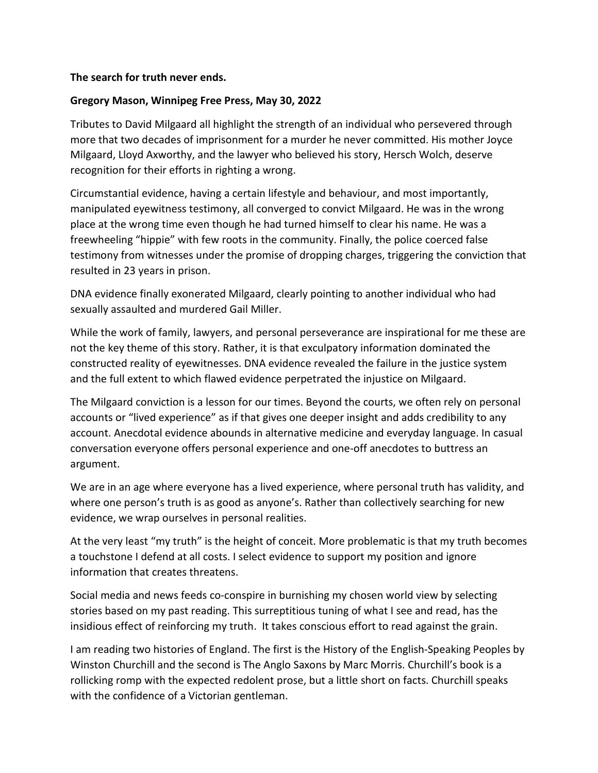## **The search for truth never ends.**

## **Gregory Mason, Winnipeg Free Press, May 30, 2022**

Tributes to David Milgaard all highlight the strength of an individual who persevered through more that two decades of imprisonment for a murder he never committed. His mother Joyce Milgaard, Lloyd Axworthy, and the lawyer who believed his story, Hersch Wolch, deserve recognition for their efforts in righting a wrong.

Circumstantial evidence, having a certain lifestyle and behaviour, and most importantly, manipulated eyewitness testimony, all converged to convict Milgaard. He was in the wrong place at the wrong time even though he had turned himself to clear his name. He was a freewheeling "hippie" with few roots in the community. Finally, the police coerced false testimony from witnesses under the promise of dropping charges, triggering the conviction that resulted in 23 years in prison.

DNA evidence finally exonerated Milgaard, clearly pointing to another individual who had sexually assaulted and murdered Gail Miller.

While the work of family, lawyers, and personal perseverance are inspirational for me these are not the key theme of this story. Rather, it is that exculpatory information dominated the constructed reality of eyewitnesses. DNA evidence revealed the failure in the justice system and the full extent to which flawed evidence perpetrated the injustice on Milgaard.

The Milgaard conviction is a lesson for our times. Beyond the courts, we often rely on personal accounts or "lived experience" as if that gives one deeper insight and adds credibility to any account. Anecdotal evidence abounds in alternative medicine and everyday language. In casual conversation everyone offers personal experience and one-off anecdotes to buttress an argument.

We are in an age where everyone has a lived experience, where personal truth has validity, and where one person's truth is as good as anyone's. Rather than collectively searching for new evidence, we wrap ourselves in personal realities.

At the very least "my truth" is the height of conceit. More problematic is that my truth becomes a touchstone I defend at all costs. I select evidence to support my position and ignore information that creates threatens.

Social media and news feeds co-conspire in burnishing my chosen world view by selecting stories based on my past reading. This surreptitious tuning of what I see and read, has the insidious effect of reinforcing my truth. It takes conscious effort to read against the grain.

I am reading two histories of England. The first is the History of the English-Speaking Peoples by Winston Churchill and the second is The Anglo Saxons by Marc Morris. Churchill's book is a rollicking romp with the expected redolent prose, but a little short on facts. Churchill speaks with the confidence of a Victorian gentleman.